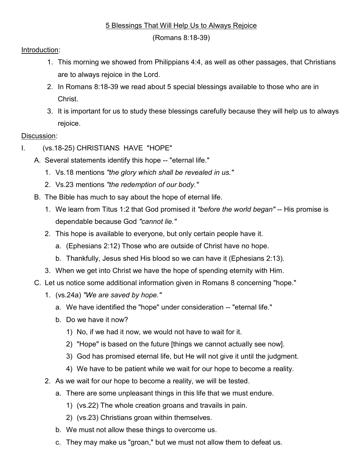## 5 Blessings That Will Help Us to Always Rejoice

(Romans 8:18-39)

## Introduction:

- 1. This morning we showed from Philippians 4:4, as well as other passages, that Christians are to always rejoice in the Lord.
- 2. In Romans 8:18-39 we read about 5 special blessings available to those who are in Christ.
- 3. It is important for us to study these blessings carefully because they will help us to always rejoice.

## Discussion:

- I. (vs.18-25) CHRISTIANS HAVE "HOPE"
	- A. Several statements identify this hope -- "eternal life."
		- 1. Vs.18 mentions "the glory which shall be revealed in us."
		- 2. Vs.23 mentions "the redemption of our body."
	- B. The Bible has much to say about the hope of eternal life.
		- 1. We learn from Titus 1:2 that God promised it "before the world began" -- His promise is dependable because God "cannot lie."
		- 2. This hope is available to everyone, but only certain people have it.
			- a. (Ephesians 2:12) Those who are outside of Christ have no hope.
			- b. Thankfully, Jesus shed His blood so we can have it (Ephesians 2:13).
		- 3. When we get into Christ we have the hope of spending eternity with Him.
	- C. Let us notice some additional information given in Romans 8 concerning "hope."
		- 1. (vs.24a) "We are saved by hope."
			- a. We have identified the "hope" under consideration -- "eternal life."
			- b. Do we have it now?
				- 1) No, if we had it now, we would not have to wait for it.
				- 2) "Hope" is based on the future [things we cannot actually see now].
				- 3) God has promised eternal life, but He will not give it until the judgment.
				- 4) We have to be patient while we wait for our hope to become a reality.
		- 2. As we wait for our hope to become a reality, we will be tested.
			- a. There are some unpleasant things in this life that we must endure.
				- 1) (vs.22) The whole creation groans and travails in pain.
				- 2) (vs.23) Christians groan within themselves.
			- b. We must not allow these things to overcome us.
			- c. They may make us "groan," but we must not allow them to defeat us.